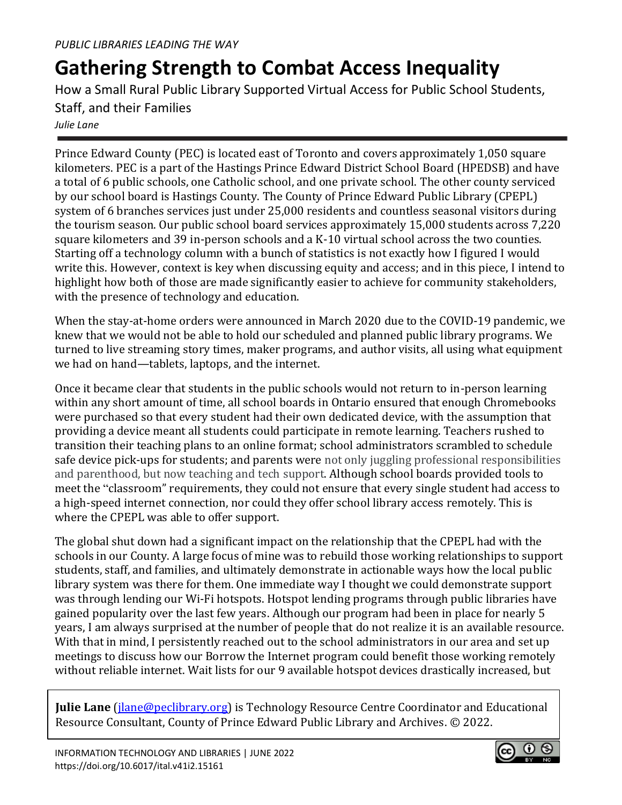## **Gathering Strength to Combat Access Inequality**

How a Small Rural Public Library Supported Virtual Access for Public School Students, Staff, and their Families *Julie Lane*

Prince Edward County (PEC) is located east of Toronto and covers approximately 1,050 square kilometers. PEC is a part of the Hastings Prince Edward District School Board (HPEDSB) and have a total of 6 public schools, one Catholic school, and one private school. The other county serviced by our school board is Hastings County. The County of Prince Edward Public Library (CPEPL) system of 6 branches services just under 25,000 residents and countless seasonal visitors during the tourism season. Our public school board services approximately 15,000 students across 7,220 square kilometers and 39 in-person schools and a K-10 virtual school across the two counties. Starting off a technology column with a bunch of statistics is not exactly how I figured I would write this. However, context is key when discussing equity and access; and in this piece, I intend to highlight how both of those are made significantly easier to achieve for community stakeholders, with the presence of technology and education.

When the stay-at-home orders were announced in March 2020 due to the COVID-19 pandemic, we knew that we would not be able to hold our scheduled and planned public library programs. We turned to live streaming story times, maker programs, and author visits, all using what equipment we had on hand—tablets, laptops, and the internet.

Once it became clear that students in the public schools would not return to in-person learning within any short amount of time, all school boards in Ontario ensured that enough Chromebooks were purchased so that every student had their own dedicated device, with the assumption that providing a device meant all students could participate in remote learning. Teachers rushed to transition their teaching plans to an online format; school administrators scrambled to schedule safe device pick-ups for students; and parents were not only juggling professional responsibilities and parenthood, but now teaching and tech support. Although school boards provided tools to meet the "classroom" requirements, they could not ensure that every single student had access to a high-speed internet connection, nor could they offer school library access remotely. This is where the CPEPL was able to offer support.

The global shut down had a significant impact on the relationship that the CPEPL had with the schools in our County. A large focus of mine was to rebuild those working relationships to support students, staff, and families, and ultimately demonstrate in actionable ways how the local public library system was there for them. One immediate way I thought we could demonstrate support was through lending our Wi-Fi hotspots. Hotspot lending programs through public libraries have gained popularity over the last few years. Although our program had been in place for nearly 5 years, I am always surprised at the number of people that do not realize it is an available resource. With that in mind, I persistently reached out to the school administrators in our area and set up meetings to discuss how our Borrow the Internet program could benefit those working remotely without reliable internet. Wait lists for our 9 available hotspot devices drastically increased, but

**Julie Lane** [\(jlane@peclibrary.org\)](mailto:jlane@peclibrary.org) is Technology Resource Centre Coordinator and Educational Resource Consultant, County of Prince Edward Public Library and Archives. © 2022.

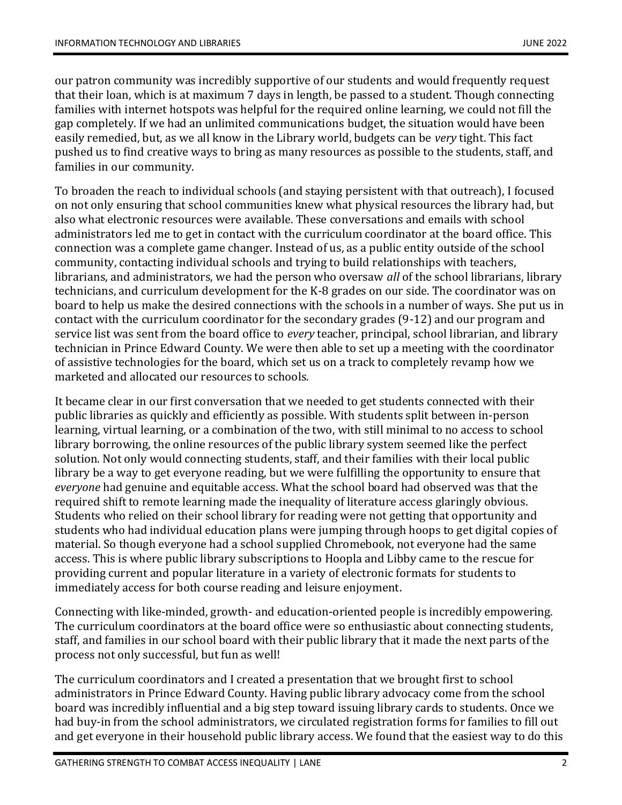our patron community was incredibly supportive of our students and would frequently request that their loan, which is at maximum 7 days in length, be passed to a student. Though connecting families with internet hotspots was helpful for the required online learning, we could not fill the gap completely. If we had an unlimited communications budget, the situation would have been easily remedied, but, as we all know in the Library world, budgets can be *very* tight. This fact pushed us to find creative ways to bring as many resources as possible to the students, staff, and families in our community.

To broaden the reach to individual schools (and staying persistent with that outreach), I focused on not only ensuring that school communities knew what physical resources the library had, but also what electronic resources were available. These conversations and emails with school administrators led me to get in contact with the curriculum coordinator at the board office. This connection was a complete game changer. Instead of us, as a public entity outside of the school community, contacting individual schools and trying to build relationships with teachers, librarians, and administrators, we had the person who oversaw *all* of the school librarians, library technicians, and curriculum development for the K-8 grades on our side. The coordinator was on board to help us make the desired connections with the schools in a number of ways. She put us in contact with the curriculum coordinator for the secondary grades (9-12) and our program and service list was sent from the board office to *every* teacher, principal, school librarian, and library technician in Prince Edward County. We were then able to set up a meeting with the coordinator of assistive technologies for the board, which set us on a track to completely revamp how we marketed and allocated our resources to schools.

It became clear in our first conversation that we needed to get students connected with their public libraries as quickly and efficiently as possible. With students split between in-person learning, virtual learning, or a combination of the two, with still minimal to no access to school library borrowing, the online resources of the public library system seemed like the perfect solution. Not only would connecting students, staff, and their families with their local public library be a way to get everyone reading, but we were fulfilling the opportunity to ensure that *everyone* had genuine and equitable access. What the school board had observed was that the required shift to remote learning made the inequality of literature access glaringly obvious. Students who relied on their school library for reading were not getting that opportunity and students who had individual education plans were jumping through hoops to get digital copies of material. So though everyone had a school supplied Chromebook, not everyone had the same access. This is where public library subscriptions to Hoopla and Libby came to the rescue for providing current and popular literature in a variety of electronic formats for students to immediately access for both course reading and leisure enjoyment.

Connecting with like-minded, growth- and education-oriented people is incredibly empowering. The curriculum coordinators at the board office were so enthusiastic about connecting students, staff, and families in our school board with their public library that it made the next parts of the process not only successful, but fun as well!

The curriculum coordinators and I created a presentation that we brought first to school administrators in Prince Edward County. Having public library advocacy come from the school board was incredibly influential and a big step toward issuing library cards to students. Once we had buy-in from the school administrators, we circulated registration forms for families to fill out and get everyone in their household public library access. We found that the easiest way to do this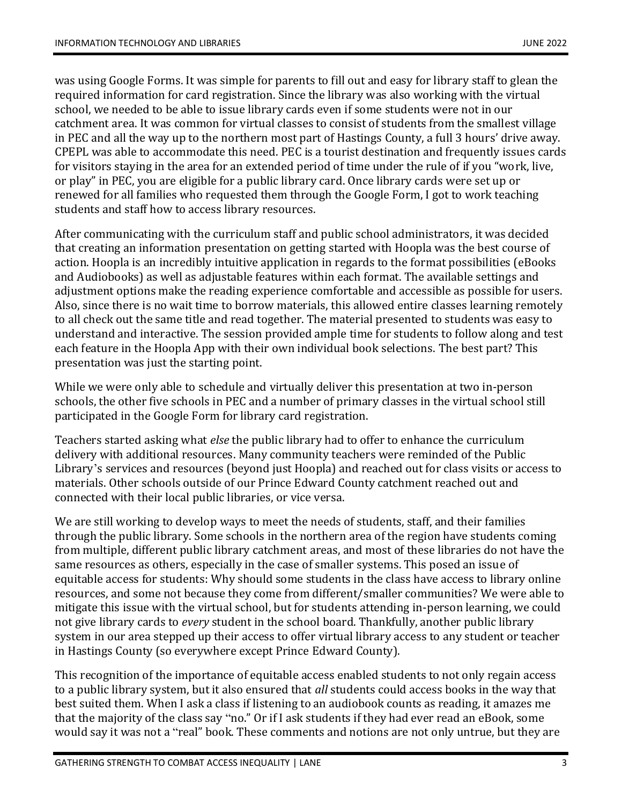was using Google Forms. It was simple for parents to fill out and easy for library staff to glean the required information for card registration. Since the library was also working with the virtual school, we needed to be able to issue library cards even if some students were not in our catchment area. It was common for virtual classes to consist of students from the smallest village in PEC and all the way up to the northern most part of Hastings County, a full 3 hours' drive away. CPEPL was able to accommodate this need. PEC is a tourist destination and frequently issues cards for visitors staying in the area for an extended period of time under the rule of if you "work, live, or play" in PEC, you are eligible for a public library card. Once library cards were set up or renewed for all families who requested them through the Google Form, I got to work teaching students and staff how to access library resources.

After communicating with the curriculum staff and public school administrators, it was decided that creating an information presentation on getting started with Hoopla was the best course of action. Hoopla is an incredibly intuitive application in regards to the format possibilities (eBooks and Audiobooks) as well as adjustable features within each format. The available settings and adjustment options make the reading experience comfortable and accessible as possible for users. Also, since there is no wait time to borrow materials, this allowed entire classes learning remotely to all check out the same title and read together. The material presented to students was easy to understand and interactive. The session provided ample time for students to follow along and test each feature in the Hoopla App with their own individual book selections. The best part? This presentation was just the starting point.

While we were only able to schedule and virtually deliver this presentation at two in-person schools, the other five schools in PEC and a number of primary classes in the virtual school still participated in the Google Form for library card registration.

Teachers started asking what *else* the public library had to offer to enhance the curriculum delivery with additional resources. Many community teachers were reminded of the Public Library's services and resources (beyond just Hoopla) and reached out for class visits or access to materials. Other schools outside of our Prince Edward County catchment reached out and connected with their local public libraries, or vice versa.

We are still working to develop ways to meet the needs of students, staff, and their families through the public library. Some schools in the northern area of the region have students coming from multiple, different public library catchment areas, and most of these libraries do not have the same resources as others, especially in the case of smaller systems. This posed an issue of equitable access for students: Why should some students in the class have access to library online resources, and some not because they come from different/smaller communities? We were able to mitigate this issue with the virtual school, but for students attending in-person learning, we could not give library cards to *every* student in the school board. Thankfully, another public library system in our area stepped up their access to offer virtual library access to any student or teacher in Hastings County (so everywhere except Prince Edward County).

This recognition of the importance of equitable access enabled students to not only regain access to a public library system, but it also ensured that *all* students could access books in the way that best suited them. When I ask a class if listening to an audiobook counts as reading, it amazes me that the majority of the class say "no." Or if I ask students if they had ever read an eBook, some would say it was not a "real" book. These comments and notions are not only untrue, but they are